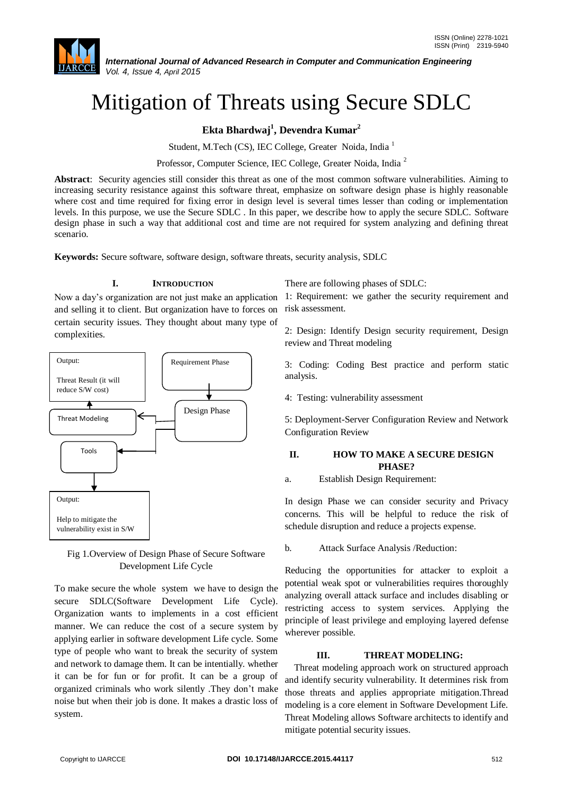# Mitigation of Threats using Secure SDLC

**Ekta Bhardwaj<sup>1</sup> , Devendra Kumar<sup>2</sup>**

Student, M.Tech (CS), IEC College, Greater Noida, India <sup>1</sup>

Professor, Computer Science, IEC College, Greater Noida, India <sup>2</sup>

**Abstract**: Security agencies still consider this threat as one of the most common software vulnerabilities. Aiming to increasing security resistance against this software threat, emphasize on software design phase is highly reasonable where cost and time required for fixing error in design level is several times lesser than coding or implementation levels. In this purpose, we use the Secure SDLC . In this paper, we describe how to apply the secure SDLC. Software design phase in such a way that additional cost and time are not required for system analyzing and defining threat scenario.

**Keywords:** Secure software, software design, software threats, security analysis, SDLC

#### **I. INTRODUCTION**

and selling it to client. But organization have to forces on certain security issues. They thought about many type of complexities.



Fig 1.Overview of Design Phase of Secure Software Development Life Cycle

To make secure the whole system we have to design the secure SDLC(Software Development Life Cycle). Organization wants to implements in a cost efficient manner. We can reduce the cost of a secure system by applying earlier in software development Life cycle. Some type of people who want to break the security of system and network to damage them. It can be intentially. whether it can be for fun or for profit. It can be a group of organized criminals who work silently .They don't make noise but when their job is done. It makes a drastic loss of system.

There are following phases of SDLC:

Now a day's organization are not just make an application 1: Requirement: we gather the security requirement and risk assessment.

> 2: Design: Identify Design security requirement, Design review and Threat modeling

> 3: Coding: Coding Best practice and perform static analysis.

4: Testing: vulnerability assessment

5: Deployment-Server Configuration Review and Network Configuration Review

## **II. HOW TO MAKE A SECURE DESIGN PHASE?**

a. Establish Design Requirement:

In design Phase we can consider security and Privacy concerns. This will be helpful to reduce the risk of schedule disruption and reduce a projects expense.

b. Attack Surface Analysis /Reduction:

Reducing the opportunities for attacker to exploit a potential weak spot or vulnerabilities requires thoroughly analyzing overall attack surface and includes disabling or restricting access to system services. Applying the principle of least privilege and employing layered defense wherever possible.

#### **III. THREAT MODELING:**

Threat modeling approach work on structured approach and identify security vulnerability. It determines risk from those threats and applies appropriate mitigation.Thread modeling is a core element in Software Development Life. Threat Modeling allows Software architects to identify and mitigate potential security issues.